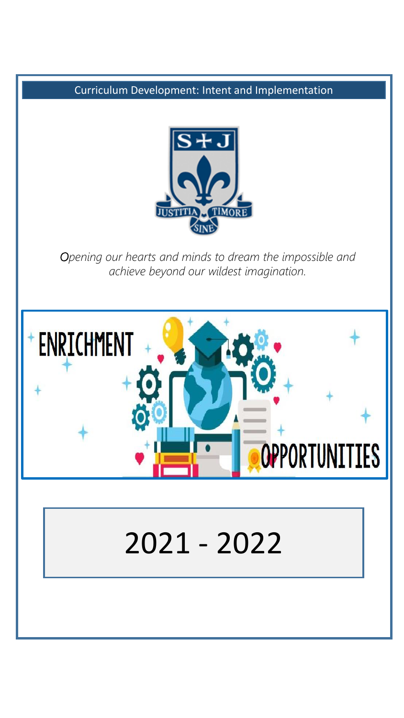

*Opening our hearts and minds to dream the impossible and achieve beyond our wildest imagination.*



# 2021 - 2022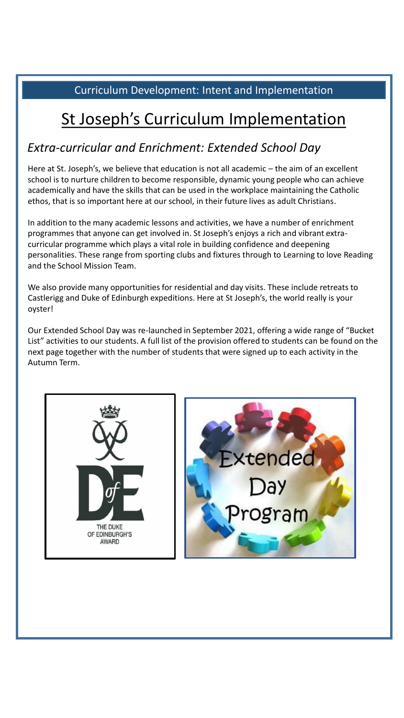## St Joseph's Curriculum Implementation

## *Extra-curricular and Enrichment: Extended School Day*

Here at St. Joseph's, we believe that education is not all academic - the aim of an excellent school is to nurture children to become responsible, dynamic young people who can achieve academically and have the skills that can be used in the workplace maintaining the Catholic ethos, that is so important here at our school, in their future lives as adult Christians.

In addition to the many academic lessons and activities, we have a number of enrichment programmes that anyone can get involved in. St Joseph's enjoys a rich and vibrant extracurricular programme which plays a vital role in building confidence and deepening personalities. These range from sporting clubs and fixtures through to Learning to love Reading and the School Mission Team.

We also provide many opportunities for residential and day visits. These include retreats to Castlerigg and Duke of Edinburgh expeditions. Here at St Joseph's, the world really is your oyster!

Our Extended School Day was re-launched in September 2021, offering a wide range of "Bucket List" activities to our students. A full list of the provision offered to students can be found on the next page together with the number of students that were signed up to each activity in the Autumn Term.



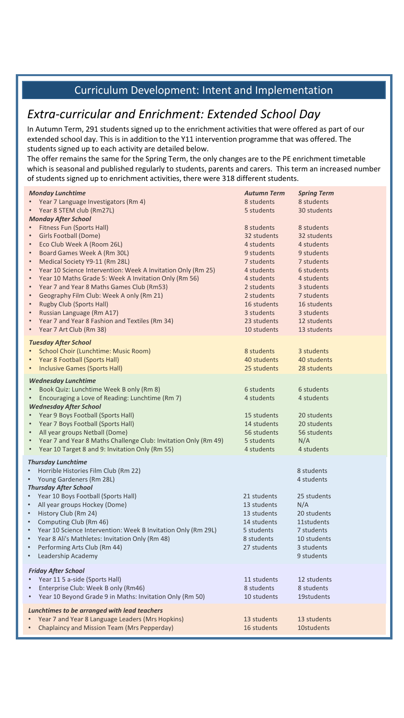## *Extra-curricular and Enrichment: Extended School Day*

In Autumn Term, 291 students signed up to the enrichment activities that were offered as part of our extended school day. This is in addition to the Y11 intervention programme that was offered. The students signed up to each activity are detailed below.

The offer remains the same for the Spring Term, the only changes are to the PE enrichment timetable which is seasonal and published regularly to students, parents and carers. This term an increased number of students signed up to enrichment activities, there were 318 different students.

| <b>Monday Lunchtime</b><br>Year 7 Language Investigators (Rm 4)<br>Year 8 STEM club (Rm27L)<br><b>Monday After School</b><br>Fitness Fun (Sports Hall)<br>Girls Football (Dome)<br>$\bullet$<br>Eco Club Week A (Room 26L)<br>Board Games Week A (Rm 30L)<br>$\bullet$<br>Medical Society Y9-11 (Rm 28L)<br>$\bullet$<br>Year 10 Science Intervention: Week A Invitation Only (Rm 25)<br>$\bullet$<br>Year 10 Maths Grade 5: Week A Invitation Only (Rm 56)<br>$\bullet$<br>Year 7 and Year 8 Maths Games Club (Rm53)<br>$\bullet$<br>Geography Film Club: Week A only (Rm 21)<br>$\bullet$<br><b>Rugby Club (Sports Hall)</b><br>$\bullet$ | <b>Autumn Term</b><br>8 students<br>5 students<br>8 students<br>32 students<br>4 students<br>9 students<br>7 students<br>4 students<br>4 students<br>2 students<br>2 students<br>16 students | <b>Spring Term</b><br>8 students<br>30 students<br>8 students<br>32 students<br>4 students<br>9 students<br>7 students<br>6 students<br>4 students<br>3 students<br>7 students<br>16 students |
|---------------------------------------------------------------------------------------------------------------------------------------------------------------------------------------------------------------------------------------------------------------------------------------------------------------------------------------------------------------------------------------------------------------------------------------------------------------------------------------------------------------------------------------------------------------------------------------------------------------------------------------------|----------------------------------------------------------------------------------------------------------------------------------------------------------------------------------------------|-----------------------------------------------------------------------------------------------------------------------------------------------------------------------------------------------|
| Russian Language (Rm A17)<br>$\bullet$<br>Year 7 and Year 8 Fashion and Textiles (Rm 34)<br>$\bullet$<br>Year 7 Art Club (Rm 38)                                                                                                                                                                                                                                                                                                                                                                                                                                                                                                            | 3 students<br>23 students<br>10 students                                                                                                                                                     | 3 students<br>12 students<br>13 students                                                                                                                                                      |
| <b>Tuesday After School</b><br>School Choir (Lunchtime: Music Room)<br>Year 8 Football (Sports Hall)<br><b>Inclusive Games (Sports Hall)</b><br>$\bullet$                                                                                                                                                                                                                                                                                                                                                                                                                                                                                   | 8 students<br>40 students<br>25 students                                                                                                                                                     | 3 students<br>40 students<br>28 students                                                                                                                                                      |
| <b>Wednesday Lunchtime</b><br>Book Quiz: Lunchtime Week B only (Rm 8)<br>Encouraging a Love of Reading: Lunchtime (Rm 7)<br><b>Wednesday After School</b><br>Year 9 Boys Football (Sports Hall)<br>Year 7 Boys Football (Sports Hall)<br>All year groups Netball (Dome)<br>Year 7 and Year 8 Maths Challenge Club: Invitation Only (Rm 49)<br>$\bullet$<br>Year 10 Target 8 and 9: Invitation Only (Rm 55)<br>$\bullet$                                                                                                                                                                                                                     | 6 students<br>4 students<br>15 students<br>14 students<br>56 students<br>5 students<br>4 students                                                                                            | 6 students<br>4 students<br>20 students<br>20 students<br>56 students<br>N/A<br>4 students                                                                                                    |
| <b>Thursday Lunchtime</b><br>Horrible Histories Film Club (Rm 22)<br>$\bullet$<br>Young Gardeners (Rm 28L)<br>$\bullet$<br><b>Thursday After School</b><br>Year 10 Boys Football (Sports Hall)<br>$\bullet$<br>All year groups Hockey (Dome)<br>$\bullet$<br>History Club (Rm 24)<br>$\bullet$<br>Computing Club (Rm 46)<br>$\bullet$<br>Year 10 Science Intervention: Week B Invitation Only (Rm 29L)<br>$\bullet$<br>Year 8 Ali's Mathletes: Invitation Only (Rm 48)<br>$\bullet$<br>Performing Arts Club (Rm 44)<br>$\bullet$<br>Leadership Academy<br>$\bullet$                                                                         | 21 students<br>13 students<br>13 students<br>14 students<br>5 students<br>8 students<br>27 students                                                                                          | 8 students<br>4 students<br>25 students<br>N/A<br>20 students<br>11students<br>7 students<br>10 students<br>3 students<br>9 students                                                          |
| <b>Friday After School</b><br>Year 11 5 a-side (Sports Hall)<br>$\bullet$<br>Enterprise Club: Week B only (Rm46)<br>$\bullet$<br>Year 10 Beyond Grade 9 in Maths: Invitation Only (Rm 50)<br>$\bullet$                                                                                                                                                                                                                                                                                                                                                                                                                                      | 11 students<br>8 students<br>10 students                                                                                                                                                     | 12 students<br>8 students<br>19students                                                                                                                                                       |
| Lunchtimes to be arranged with lead teachers<br>Year 7 and Year 8 Language Leaders (Mrs Hopkins)<br>Chaplaincy and Mission Team (Mrs Pepperday)                                                                                                                                                                                                                                                                                                                                                                                                                                                                                             | 13 students<br>16 students                                                                                                                                                                   | 13 students<br>10students                                                                                                                                                                     |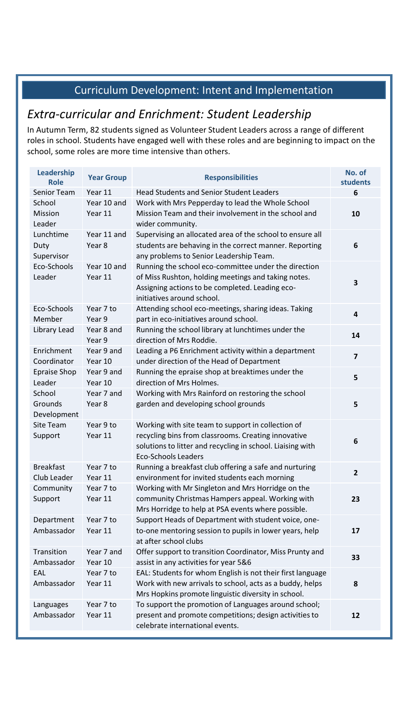## *Extra-curricular and Enrichment: Student Leadership*

In Autumn Term, 82 students signed as Volunteer Student Leaders across a range of different roles in school. Students have engaged well with these roles and are beginning to impact on the school, some roles are more time intensive than others.

| <b>Leadership</b><br><b>Role</b>   | <b>Year Group</b>      | <b>Responsibilities</b>                                                                                                                                                                               | No. of<br>students      |
|------------------------------------|------------------------|-------------------------------------------------------------------------------------------------------------------------------------------------------------------------------------------------------|-------------------------|
| <b>Senior Team</b>                 | Year 11                | <b>Head Students and Senior Student Leaders</b>                                                                                                                                                       | 6                       |
| School<br><b>Mission</b><br>Leader | Year 10 and<br>Year 11 | Work with Mrs Pepperday to lead the Whole School<br>Mission Team and their involvement in the school and<br>wider community.                                                                          | 10                      |
| Lunchtime<br>Duty<br>Supervisor    | Year 11 and<br>Year 8  | Supervising an allocated area of the school to ensure all<br>students are behaving in the correct manner. Reporting<br>any problems to Senior Leadership Team.                                        | 6                       |
| Eco-Schools<br>Leader              | Year 10 and<br>Year 11 | Running the school eco-committee under the direction<br>of Miss Rushton, holding meetings and taking notes.<br>Assigning actions to be completed. Leading eco-<br>initiatives around school.          | 3                       |
| Eco-Schools<br>Member              | Year 7 to<br>Year 9    | Attending school eco-meetings, sharing ideas. Taking<br>part in eco-initiatives around school.                                                                                                        | $\overline{\mathbf{4}}$ |
| Library Lead                       | Year 8 and<br>Year 9   | Running the school library at lunchtimes under the<br>direction of Mrs Roddie.                                                                                                                        | 14                      |
| Enrichment<br>Coordinator          | Year 9 and<br>Year 10  | Leading a P6 Enrichment activity within a department<br>under direction of the Head of Department                                                                                                     | $\overline{\mathbf{z}}$ |
| <b>Epraise Shop</b><br>Leader      | Year 9 and<br>Year 10  | Running the epraise shop at breaktimes under the<br>direction of Mrs Holmes.                                                                                                                          | 5                       |
| School<br>Grounds<br>Development   | Year 7 and<br>Year 8   | Working with Mrs Rainford on restoring the school<br>garden and developing school grounds                                                                                                             | 5                       |
| <b>Site Team</b><br>Support        | Year 9 to<br>Year 11   | Working with site team to support in collection of<br>recycling bins from classrooms. Creating innovative<br>solutions to litter and recycling in school. Liaising with<br><b>Eco-Schools Leaders</b> | $6\phantom{1}$          |
| <b>Breakfast</b><br>Club Leader    | Year 7 to<br>Year 11   | Running a breakfast club offering a safe and nurturing<br>environment for invited students each morning                                                                                               | $\overline{2}$          |
| Community<br>Support               | Year 7 to<br>Year 11   | Working with Mr Singleton and Mrs Horridge on the<br>community Christmas Hampers appeal. Working with<br>Mrs Horridge to help at PSA events where possible.                                           | 23                      |
| Department<br>Ambassador           | Year 7 to<br>Year 11   | Support Heads of Department with student voice, one-<br>to-one mentoring session to pupils in lower years, help<br>at after school clubs                                                              | 17                      |
| Transition<br>Ambassador           | Year 7 and<br>Year 10  | Offer support to transition Coordinator, Miss Prunty and<br>assist in any activities for year 5&6                                                                                                     | 33                      |
| EAL<br>Ambassador                  | Year 7 to<br>Year 11   | EAL: Students for whom English is not their first language<br>Work with new arrivals to school, acts as a buddy, helps<br>Mrs Hopkins promote linguistic diversity in school.                         | 8                       |
| Languages<br>Ambassador            | Year 7 to<br>Year 11   | To support the promotion of Languages around school;<br>present and promote competitions; design activities to<br>celebrate international events.                                                     | 12                      |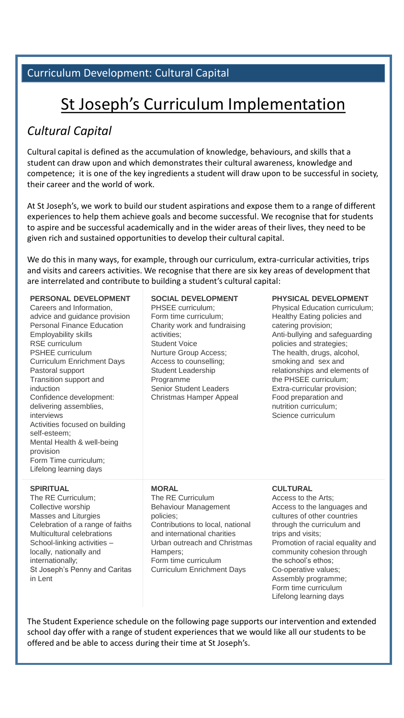#### Curriculum Development: Cultural Capital

# St Joseph's Curriculum Implementation

## *Cultural Capital*

Cultural capital is defined as the accumulation of knowledge, behaviours, and skills that a student can draw upon and which demonstrates their cultural awareness, knowledge and competence; it is one of the key ingredients a student will draw upon to be successful in society, their career and the world of work.

At St Joseph's, we work to build our student aspirations and expose them to a range of different experiences to help them achieve goals and become successful. We recognise that for students to aspire and be successful academically and in the wider areas of their lives, they need to be given rich and sustained opportunities to develop their cultural capital.

We do this in many ways, for example, through our curriculum, extra-curricular activities, trips and visits and careers activities. We recognise that there are six key areas of development that are interrelated and contribute to building a student's cultural capital:

#### **PERSONAL DEVELOPMENT**

Careers and Information, advice and guidance provision Personal Finance Education Employability skills RSE curriculum PSHEE curriculum Curriculum Enrichment Days Pastoral support Transition support and induction Confidence development: delivering assemblies, interviews Activities focused on building self-esteem; Mental Health & well-being provision Form Time curriculum; Lifelong learning days

#### **SOCIAL DEVELOPMENT**

Access to counselling; PHSEE curriculum; Form time curriculum; Charity work and fundraising activities; Student Voice Nurture Group Access; Student Leadership Programme Senior Student Leaders Christmas Hamper Appeal

#### **PHYSICAL DEVELOPMENT**

Physical Education curriculum; Healthy Eating policies and catering provision; Anti-bullying and safeguarding policies and strategies; The health, drugs, alcohol, smoking and sex and relationships and elements of the PHSEE curriculum; Extra-curricular provision; Food preparation and nutrition curriculum; Science curriculum

#### **SPIRITUAL**

The RE Curriculum; Collective worship Masses and Liturgies Celebration of a range of faiths Multicultural celebrations School-linking activities – locally, nationally and internationally; St Joseph's Penny and Caritas in Lent

#### **MORAL**

The RE Curriculum Behaviour Management policies; Contributions to local, national and international charities Urban outreach and Christmas Hampers; Form time curriculum Curriculum Enrichment Days

#### **CULTURAL**

Access to the Arts; Access to the languages and cultures of other countries through the curriculum and trips and visits; Promotion of racial equality and community cohesion through the school's ethos; Co-operative values; Assembly programme; Form time curriculum Lifelong learning days

The Student Experience schedule on the following page supports our intervention and extended school day offer with a range of student experiences that we would like all our students to be offered and be able to access during their time at St Joseph's.